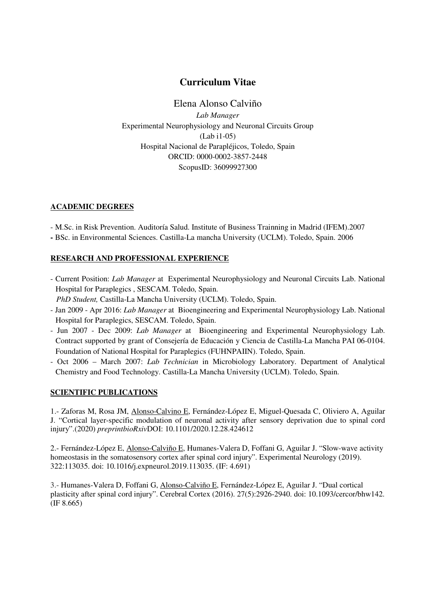# **Curriculum Vitae**

## Elena Alonso Calviño

*Lab Manager*  Experimental Neurophysiology and Neuronal Circuits Group (Lab i1-05) Hospital Nacional de Parapléjicos, Toledo, Spain ORCID: 0000-0002-3857-2448 ScopusID: 36099927300

#### **ACADEMIC DEGREES**

- M.Sc. in Risk Prevention. Auditoría Salud. Institute of Business Trainning in Madrid (IFEM).2007

**-** BSc. in Environmental Sciences. Castilla-La mancha University (UCLM). Toledo, Spain. 2006

### **RESEARCH AND PROFESSIONAL EXPERIENCE**

- Current Position: *Lab Manager* at Experimental Neurophysiology and Neuronal Circuits Lab. National Hospital for Paraplegics , SESCAM. Toledo, Spain.

*PhD Student,* Castilla-La Mancha University (UCLM). Toledo, Spain.

- Jan 2009 Apr 2016: *Lab Manager* at Bioengineering and Experimental Neurophysiology Lab. National Hospital for Paraplegics, SESCAM. Toledo, Spain.
- Jun 2007 Dec 2009: *Lab Manager* at Bioengineering and Experimental Neurophysiology Lab. Contract supported by grant of Consejería de Educación y Ciencia de Castilla-La Mancha PAI 06-0104. Foundation of National Hospital for Paraplegics (FUHNPAIIN). Toledo, Spain.
- Oct 2006 March 2007: *Lab Technician* in Microbiology Laboratory. Department of Analytical Chemistry and Food Technology. Castilla-La Mancha University (UCLM). Toledo, Spain.

### **SCIENTIFIC PUBLICATIONS**

1.- Zaforas M, Rosa JM, Alonso-Calvino E, Fernández-López E, Miguel-Quesada C, Oliviero A, Aguilar J. "Cortical layer-specific modulation of neuronal activity after sensory deprivation due to spinal cord injury".(2020) *preprintbioRxiv*DOI: 10.1101/2020.12.28.424612

2.- Fernández-López E, Alonso-Calviño E, Humanes-Valera D, Foffani G, Aguilar J. "Slow-wave activity homeostasis in the somatosensory cortex after spinal cord injury". Experimental Neurology (2019). 322:113035. doi: 10.1016/j.expneurol.2019.113035. (IF: 4.691)

3.- Humanes-Valera D, Foffani G, Alonso-Calviño E, Fernández-López E, Aguilar J. "Dual cortical plasticity after spinal cord injury". Cerebral Cortex (2016). 27(5):2926-2940. doi: 10.1093/cercor/bhw142. (IF 8.665)